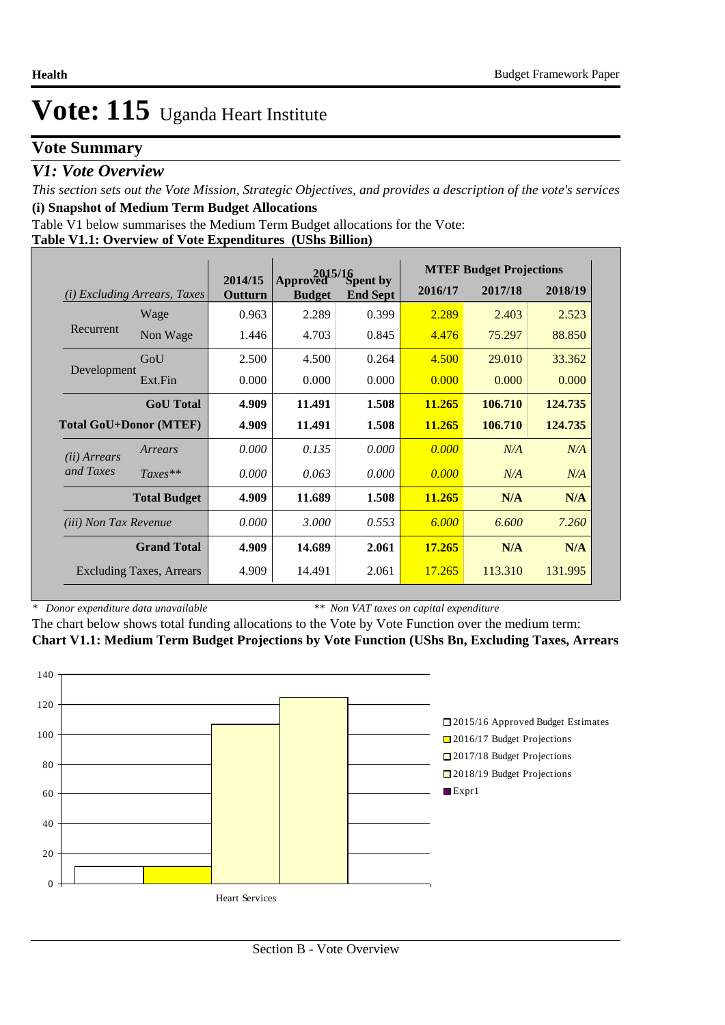### **Vote Summary**

### *V1: Vote Overview*

*This section sets out the Vote Mission, Strategic Objectives, and provides a description of the vote's services* **(i) Snapshot of Medium Term Budget Allocations** 

Table V1 below summarises the Medium Term Budget allocations for the Vote:

**Table V1.1: Overview of Vote Expenditures (UShs Billion)**

|                              |                                 |                    | 2015/16                   |                             |         | <b>MTEF Budget Projections</b> |         |
|------------------------------|---------------------------------|--------------------|---------------------------|-----------------------------|---------|--------------------------------|---------|
| (i)                          | <i>Excluding Arrears, Taxes</i> | 2014/15<br>Outturn | Approved<br><b>Budget</b> | Spent by<br><b>End Sept</b> | 2016/17 | 2017/18                        | 2018/19 |
|                              | Wage                            | 0.963              | 2.289                     | 0.399                       | 2.289   | 2.403                          | 2.523   |
| Recurrent                    | Non Wage                        | 1.446              | 4.703                     | 0.845                       | 4.476   | 75.297                         | 88.850  |
|                              | GoU                             | 2.500              | 4.500                     | 0.264                       | 4.500   | 29.010                         | 33.362  |
| Development                  | Ext.Fin                         | 0.000              | 0.000                     | 0.000                       | 0.000   | 0.000                          | 0.000   |
|                              | <b>GoU</b> Total                | 4.909              | 11.491                    | 1.508                       | 11.265  | 106.710                        | 124.735 |
|                              | Total GoU+Donor (MTEF)          | 4.909              | 11.491                    | 1.508                       | 11.265  | 106.710                        | 124.735 |
| ( <i>ii</i> ) Arrears        | Arrears                         | 0.000              | 0.135                     | 0.000                       | 0.000   | N/A                            | N/A     |
| and Taxes                    | $Taxes**$                       | 0.000              | 0.063                     | 0.000                       | 0.000   | N/A                            | N/A     |
|                              | <b>Total Budget</b>             | 4.909              | 11.689                    | 1.508                       | 11.265  | N/A                            | N/A     |
| <i>(iii)</i> Non Tax Revenue |                                 | 0.000              | 3.000                     | 0.553                       | 6.000   | 6.600                          | 7.260   |
|                              | <b>Grand Total</b>              | 4.909              | 14.689                    | 2.061                       | 17.265  | N/A                            | N/A     |
|                              | <b>Excluding Taxes, Arrears</b> | 4.909              | 14.491                    | 2.061                       | 17.265  | 113.310                        | 131.995 |

*\* Donor expenditure data unavailable*

*\*\* Non VAT taxes on capital expenditure*

The chart below shows total funding allocations to the Vote by Vote Function over the medium term: **Chart V1.1: Medium Term Budget Projections by Vote Function (UShs Bn, Excluding Taxes, Arrears**

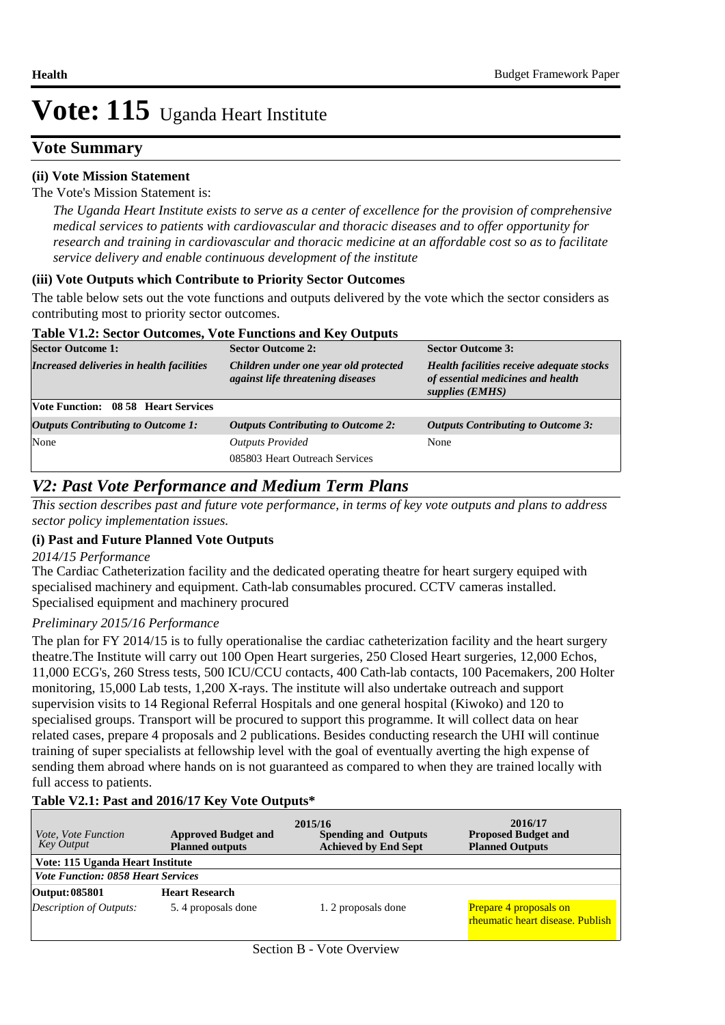### **Vote Summary**

#### **(ii) Vote Mission Statement**

#### The Vote's Mission Statement is:

*The Uganda Heart Institute exists to serve as a center of excellence for the provision of comprehensive medical services to patients with cardiovascular and thoracic diseases and to offer opportunity for research and training in cardiovascular and thoracic medicine at an affordable cost so as to facilitate service delivery and enable continuous development of the institute*

#### **(iii) Vote Outputs which Contribute to Priority Sector Outcomes**

The table below sets out the vote functions and outputs delivered by the vote which the sector considers as contributing most to priority sector outcomes.

#### **Table V1.2: Sector Outcomes, Vote Functions and Key Outputs**

| $\frac{1}{2}$ and $\frac{1}{2}$ and $\frac{1}{2}$ . The contract of $\frac{1}{2}$ and $\frac{1}{2}$ and $\frac{1}{2}$ and $\frac{1}{2}$ and $\frac{1}{2}$ |                                                                            |                                                                                                   |  |  |  |  |  |
|-----------------------------------------------------------------------------------------------------------------------------------------------------------|----------------------------------------------------------------------------|---------------------------------------------------------------------------------------------------|--|--|--|--|--|
| <b>Sector Outcome 1:</b>                                                                                                                                  | <b>Sector Outcome 2:</b>                                                   | <b>Sector Outcome 3:</b>                                                                          |  |  |  |  |  |
| Increased deliveries in health facilities                                                                                                                 | Children under one year old protected<br>against life threatening diseases | Health facilities receive adequate stocks<br>of essential medicines and health<br>supplies (EMHS) |  |  |  |  |  |
| Vote Function: 08 58 Heart Services                                                                                                                       |                                                                            |                                                                                                   |  |  |  |  |  |
| <b>Outputs Contributing to Outcome 1:</b>                                                                                                                 | <b>Outputs Contributing to Outcome 2:</b>                                  | <b>Outputs Contributing to Outcome 3:</b>                                                         |  |  |  |  |  |
| None                                                                                                                                                      | <b>Outputs Provided</b><br>085803 Heart Outreach Services                  | None                                                                                              |  |  |  |  |  |
|                                                                                                                                                           |                                                                            |                                                                                                   |  |  |  |  |  |

### *V2: Past Vote Performance and Medium Term Plans*

*This section describes past and future vote performance, in terms of key vote outputs and plans to address sector policy implementation issues.* 

#### **(i) Past and Future Planned Vote Outputs**

#### *2014/15 Performance*

The Cardiac Catheterization facility and the dedicated operating theatre for heart surgery equiped with specialised machinery and equipment. Cath-lab consumables procured. CCTV cameras installed. Specialised equipment and machinery procured

#### *Preliminary 2015/16 Performance*

The plan for FY 2014/15 is to fully operationalise the cardiac catheterization facility and the heart surgery theatre.The Institute will carry out 100 Open Heart surgeries, 250 Closed Heart surgeries, 12,000 Echos, 11,000 ECG's, 260 Stress tests, 500 ICU/CCU contacts, 400 Cath-lab contacts, 100 Pacemakers, 200 Holter monitoring, 15,000 Lab tests, 1,200 X-rays. The institute will also undertake outreach and support supervision visits to 14 Regional Referral Hospitals and one general hospital (Kiwoko) and 120 to specialised groups. Transport will be procured to support this programme. It will collect data on hear related cases, prepare 4 proposals and 2 publications. Besides conducting research the UHI will continue training of super specialists at fellowship level with the goal of eventually averting the high expense of sending them abroad where hands on is not guaranteed as compared to when they are trained locally with full access to patients.

#### **Table V2.1: Past and 2016/17 Key Vote Outputs\***

| <i>Vote, Vote Function</i><br>Key Output  | <b>Approved Budget and</b><br><b>Planned outputs</b> | 2015/16<br><b>Spending and Outputs</b><br><b>Achieved by End Sept</b> | 2016/17<br><b>Proposed Budget and</b><br><b>Planned Outputs</b> |
|-------------------------------------------|------------------------------------------------------|-----------------------------------------------------------------------|-----------------------------------------------------------------|
| Vote: 115 Uganda Heart Institute          |                                                      |                                                                       |                                                                 |
| <b>Vote Function: 0858 Heart Services</b> |                                                      |                                                                       |                                                                 |
| Output: 085801                            | <b>Heart Research</b>                                |                                                                       |                                                                 |
| Description of Outputs:                   | 5.4 proposals done                                   | 1. 2 proposals done                                                   | Prepare 4 proposals on<br>rheumatic heart disease. Publish      |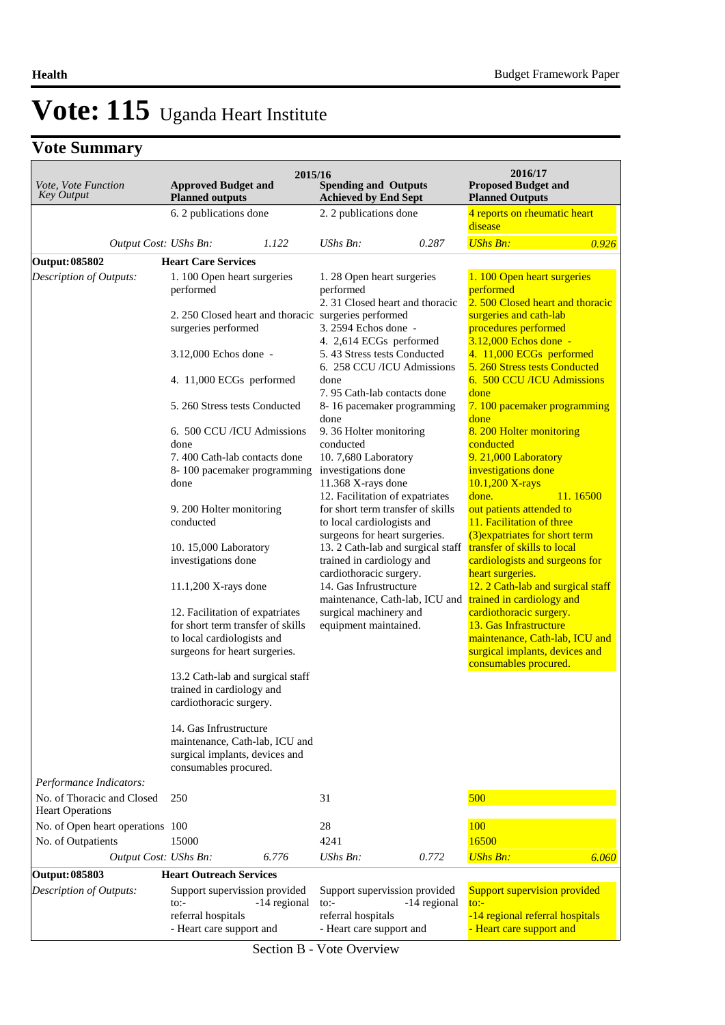## **Vote Summary**

| Vote, Vote Function<br><b>Key Output</b>              | <b>Approved Budget and</b><br><b>Planned outputs</b>                                                                                                                                                                                                                                                                                                                                                                                                         | 2015/16      | <b>Spending and Outputs</b><br><b>Achieved by End Sept</b>                                                                                                                                                                                                                                                                                                                                                                                                                                                                                                                                                                                                                                                                                                                                   |              | 2016/17<br><b>Proposed Budget and</b><br><b>Planned Outputs</b>                                                                                                                                                                                                                                                                                                                                                                                                                                                                                                                                                                                                                                                             |          |
|-------------------------------------------------------|--------------------------------------------------------------------------------------------------------------------------------------------------------------------------------------------------------------------------------------------------------------------------------------------------------------------------------------------------------------------------------------------------------------------------------------------------------------|--------------|----------------------------------------------------------------------------------------------------------------------------------------------------------------------------------------------------------------------------------------------------------------------------------------------------------------------------------------------------------------------------------------------------------------------------------------------------------------------------------------------------------------------------------------------------------------------------------------------------------------------------------------------------------------------------------------------------------------------------------------------------------------------------------------------|--------------|-----------------------------------------------------------------------------------------------------------------------------------------------------------------------------------------------------------------------------------------------------------------------------------------------------------------------------------------------------------------------------------------------------------------------------------------------------------------------------------------------------------------------------------------------------------------------------------------------------------------------------------------------------------------------------------------------------------------------------|----------|
|                                                       | 6. 2 publications done                                                                                                                                                                                                                                                                                                                                                                                                                                       |              | 2. 2 publications done                                                                                                                                                                                                                                                                                                                                                                                                                                                                                                                                                                                                                                                                                                                                                                       |              | 4 reports on rheumatic heart                                                                                                                                                                                                                                                                                                                                                                                                                                                                                                                                                                                                                                                                                                |          |
|                                                       |                                                                                                                                                                                                                                                                                                                                                                                                                                                              |              |                                                                                                                                                                                                                                                                                                                                                                                                                                                                                                                                                                                                                                                                                                                                                                                              |              | disease                                                                                                                                                                                                                                                                                                                                                                                                                                                                                                                                                                                                                                                                                                                     |          |
| Output Cost: UShs Bn:                                 |                                                                                                                                                                                                                                                                                                                                                                                                                                                              | 1.122        | UShs Bn:                                                                                                                                                                                                                                                                                                                                                                                                                                                                                                                                                                                                                                                                                                                                                                                     | 0.287        | <b>UShs Bn:</b>                                                                                                                                                                                                                                                                                                                                                                                                                                                                                                                                                                                                                                                                                                             | 0.926    |
| <b>Output: 085802</b>                                 | <b>Heart Care Services</b>                                                                                                                                                                                                                                                                                                                                                                                                                                   |              |                                                                                                                                                                                                                                                                                                                                                                                                                                                                                                                                                                                                                                                                                                                                                                                              |              |                                                                                                                                                                                                                                                                                                                                                                                                                                                                                                                                                                                                                                                                                                                             |          |
| Description of Outputs:                               | 1.100 Open heart surgeries<br>performed<br>surgeries performed<br>3.12,000 Echos done -<br>4. 11,000 ECGs performed<br>5. 260 Stress tests Conducted<br>6. 500 CCU /ICU Admissions<br>done<br>7.400 Cath-lab contacts done<br>8-100 pacemaker programming<br>done<br>9. 200 Holter monitoring<br>conducted<br>10. 15,000 Laboratory<br>investigations done<br>$11.1,200$ X-rays done<br>12. Facilitation of expatriates<br>for short term transfer of skills |              | 1.28 Open heart surgeries<br>performed<br>2. 31 Closed heart and thoracic<br>2. 250 Closed heart and thoracic surgeries performed<br>3. 2594 Echos done -<br>4. 2,614 ECGs performed<br>5.43 Stress tests Conducted<br>6. 258 CCU /ICU Admissions<br>done<br>7.95 Cath-lab contacts done<br>8-16 pacemaker programming<br>done<br>9.36 Holter monitoring<br>conducted<br>10.7,680 Laboratory<br>investigations done<br>11.368 X-rays done<br>12. Facilitation of expatriates<br>for short term transfer of skills<br>to local cardiologists and<br>surgeons for heart surgeries.<br>13. 2 Cath-lab and surgical staff<br>trained in cardiology and<br>cardiothoracic surgery.<br>14. Gas Infrustructure<br>maintenance, Cath-lab, ICU and<br>surgical machinery and<br>equipment maintained. |              | 1.100 Open heart surgeries<br>performed<br>2.500 Closed heart and thoracic<br>surgeries and cath-lab<br>procedures performed<br>3.12,000 Echos done -<br>4. 11,000 ECGs performed<br>5. 260 Stress tests Conducted<br>6. 500 CCU /ICU Admissions<br>done<br>7. 100 pacemaker programming<br>done<br>8. 200 Holter monitoring<br>conducted<br>9. 21,000 Laboratory<br>investigations done<br>10.1,200 X-rays<br>done.<br>out patients attended to<br>11. Facilitation of three<br>(3) expatriates for short term<br>transfer of skills to local<br>cardiologists and surgeons for<br>heart surgeries.<br>12. 2 Cath-lab and surgical staff<br>trained in cardiology and<br>cardiothoracic surgery.<br>13. Gas Infrastructure | 11.16500 |
|                                                       | to local cardiologists and<br>surgeons for heart surgeries.<br>13.2 Cath-lab and surgical staff<br>trained in cardiology and<br>cardiothoracic surgery.<br>14. Gas Infrustructure<br>maintenance, Cath-lab, ICU and                                                                                                                                                                                                                                          |              |                                                                                                                                                                                                                                                                                                                                                                                                                                                                                                                                                                                                                                                                                                                                                                                              |              | maintenance, Cath-lab, ICU and<br>surgical implants, devices and<br>consumables procured.                                                                                                                                                                                                                                                                                                                                                                                                                                                                                                                                                                                                                                   |          |
| Performance Indicators:                               | surgical implants, devices and<br>consumables procured.                                                                                                                                                                                                                                                                                                                                                                                                      |              |                                                                                                                                                                                                                                                                                                                                                                                                                                                                                                                                                                                                                                                                                                                                                                                              |              |                                                                                                                                                                                                                                                                                                                                                                                                                                                                                                                                                                                                                                                                                                                             |          |
| No. of Thoracic and Closed<br><b>Heart Operations</b> | 250                                                                                                                                                                                                                                                                                                                                                                                                                                                          |              | 31                                                                                                                                                                                                                                                                                                                                                                                                                                                                                                                                                                                                                                                                                                                                                                                           |              | 500                                                                                                                                                                                                                                                                                                                                                                                                                                                                                                                                                                                                                                                                                                                         |          |
| No. of Open heart operations 100                      |                                                                                                                                                                                                                                                                                                                                                                                                                                                              |              | 28                                                                                                                                                                                                                                                                                                                                                                                                                                                                                                                                                                                                                                                                                                                                                                                           |              | <b>100</b>                                                                                                                                                                                                                                                                                                                                                                                                                                                                                                                                                                                                                                                                                                                  |          |
| No. of Outpatients                                    | 15000                                                                                                                                                                                                                                                                                                                                                                                                                                                        |              | 4241                                                                                                                                                                                                                                                                                                                                                                                                                                                                                                                                                                                                                                                                                                                                                                                         |              | 16500                                                                                                                                                                                                                                                                                                                                                                                                                                                                                                                                                                                                                                                                                                                       |          |
| Output Cost: UShs Bn:                                 |                                                                                                                                                                                                                                                                                                                                                                                                                                                              | 6.776        | UShs Bn:                                                                                                                                                                                                                                                                                                                                                                                                                                                                                                                                                                                                                                                                                                                                                                                     | 0.772        | <b>UShs Bn:</b>                                                                                                                                                                                                                                                                                                                                                                                                                                                                                                                                                                                                                                                                                                             | 6.060    |
| <b>Output: 085803</b>                                 | <b>Heart Outreach Services</b>                                                                                                                                                                                                                                                                                                                                                                                                                               |              |                                                                                                                                                                                                                                                                                                                                                                                                                                                                                                                                                                                                                                                                                                                                                                                              |              |                                                                                                                                                                                                                                                                                                                                                                                                                                                                                                                                                                                                                                                                                                                             |          |
| Description of Outputs:                               | Support supervission provided<br>$\mathsf{to}$ :<br>referral hospitals                                                                                                                                                                                                                                                                                                                                                                                       | -14 regional | Support supervission provided<br>$\mathsf{to}$ :<br>referral hospitals                                                                                                                                                                                                                                                                                                                                                                                                                                                                                                                                                                                                                                                                                                                       | -14 regional | Support supervision provided<br>$\mathsf{to}$ :<br>-14 regional referral hospitals                                                                                                                                                                                                                                                                                                                                                                                                                                                                                                                                                                                                                                          |          |
|                                                       | - Heart care support and                                                                                                                                                                                                                                                                                                                                                                                                                                     |              | - Heart care support and                                                                                                                                                                                                                                                                                                                                                                                                                                                                                                                                                                                                                                                                                                                                                                     |              | - Heart care support and                                                                                                                                                                                                                                                                                                                                                                                                                                                                                                                                                                                                                                                                                                    |          |

Section B - Vote Overview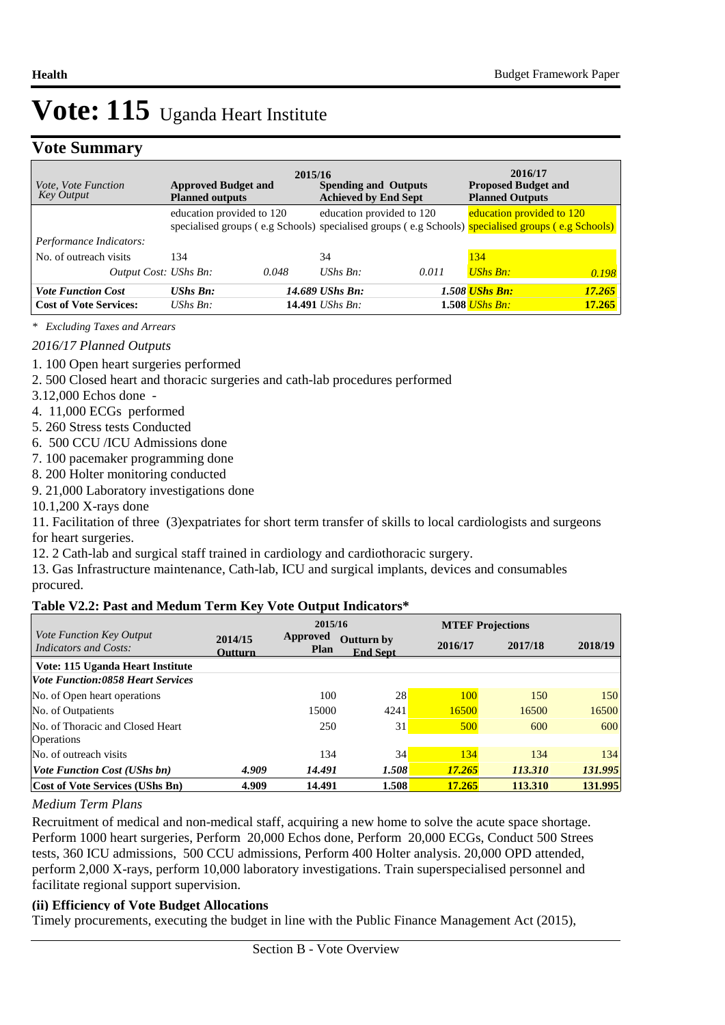### **Vote Summary**

| <i>Vote, Vote Function</i><br><b>Key Output</b> | <b>Approved Budget and</b><br><b>Planned outputs</b> | 2015/16 | <b>Spending and Outputs</b><br><b>Achieved by End Sept</b> |       | 2016/17<br><b>Proposed Budget and</b><br><b>Planned Outputs</b>                                    |        |
|-------------------------------------------------|------------------------------------------------------|---------|------------------------------------------------------------|-------|----------------------------------------------------------------------------------------------------|--------|
|                                                 | education provided to 120                            |         | education provided to 120                                  |       | education provided to 120                                                                          |        |
| Performance Indicators:                         |                                                      |         |                                                            |       | specialised groups (e.g Schools) specialised groups (e.g Schools) specialised groups (e.g Schools) |        |
| No. of outreach visits                          | 134                                                  |         | 34                                                         |       | 134                                                                                                |        |
| <i>Output Cost: UShs Bn:</i>                    |                                                      | 0.048   | UShs $Bn$ :                                                | 0.011 | <b>UShs Bn:</b>                                                                                    | 0.198  |
| <b>Vote Function Cost</b>                       | $UShs Bn$ :                                          |         | 14.689 UShs Bn:                                            |       | 1.508 UShs Bn:                                                                                     | 17.265 |
| <b>Cost of Vote Services:</b>                   | UShs $B_n$ :                                         |         | 14.491 <i>UShs Bn:</i>                                     |       | 1.508 <i>UShs Bn</i> :                                                                             | 17.265 |

*\* Excluding Taxes and Arrears*

#### *2016/17 Planned Outputs*

- 1. 100 Open heart surgeries performed
- 2. 500 Closed heart and thoracic surgeries and cath-lab procedures performed
- 3.12,000 Echos done -
- 4. 11,000 ECGs performed
- 5. 260 Stress tests Conducted
- 6. 500 CCU /ICU Admissions done
- 7. 100 pacemaker programming done
- 8. 200 Holter monitoring conducted
- 9. 21,000 Laboratory investigations done

10.1,200 X-rays done

11. Facilitation of three (3)expatriates for short term transfer of skills to local cardiologists and surgeons for heart surgeries.

12. 2 Cath-lab and surgical staff trained in cardiology and cardiothoracic surgery.

13. Gas Infrastructure maintenance, Cath-lab, ICU and surgical implants, devices and consumables procured.

#### **Table V2.2: Past and Medum Term Key Vote Output Indicators\***

| <i>Vote Function Key Output</i>          |                           | 2015/16                 |                                      |         | <b>MTEF Projections</b> |         |  |
|------------------------------------------|---------------------------|-------------------------|--------------------------------------|---------|-------------------------|---------|--|
| <b>Indicators and Costs:</b>             | 2014/15<br><b>Outturn</b> | Approved<br><b>Plan</b> | <b>Outturn by</b><br><b>End Sept</b> | 2016/17 | 2017/18                 | 2018/19 |  |
| Vote: 115 Uganda Heart Institute         |                           |                         |                                      |         |                         |         |  |
| <b>Vote Function:0858 Heart Services</b> |                           |                         |                                      |         |                         |         |  |
| No. of Open heart operations             |                           | 100                     | 28                                   | 100     | 150                     | 150     |  |
| No. of Outpatients                       |                           | 15000                   | 4241                                 | 16500   | 16500                   | 16500   |  |
| No. of Thoracic and Closed Heart         |                           | 250                     | 31                                   | 500     | 600                     | 600     |  |
| <b>Operations</b>                        |                           |                         |                                      |         |                         |         |  |
| No. of outreach visits                   |                           | 134                     | 34                                   | 134     | 134                     | 134     |  |
| <i>Vote Function Cost (UShs bn)</i>      | 4.909                     | 14.491                  | 1.508                                | 17.265  | 113.310                 | 131.995 |  |
| <b>Cost of Vote Services (UShs Bn)</b>   | 4.909                     | 14.491                  | 1.508                                | 17.265  | 113.310                 | 131.995 |  |

#### *Medium Term Plans*

Recruitment of medical and non-medical staff, acquiring a new home to solve the acute space shortage. Perform 1000 heart surgeries, Perform 20,000 Echos done, Perform 20,000 ECGs, Conduct 500 Strees tests, 360 ICU admissions, 500 CCU admissions, Perform 400 Holter analysis. 20,000 OPD attended, perform 2,000 X-rays, perform 10,000 laboratory investigations. Train superspecialised personnel and facilitate regional support supervision.

#### **(ii) Efficiency of Vote Budget Allocations**

Timely procurements, executing the budget in line with the Public Finance Management Act (2015),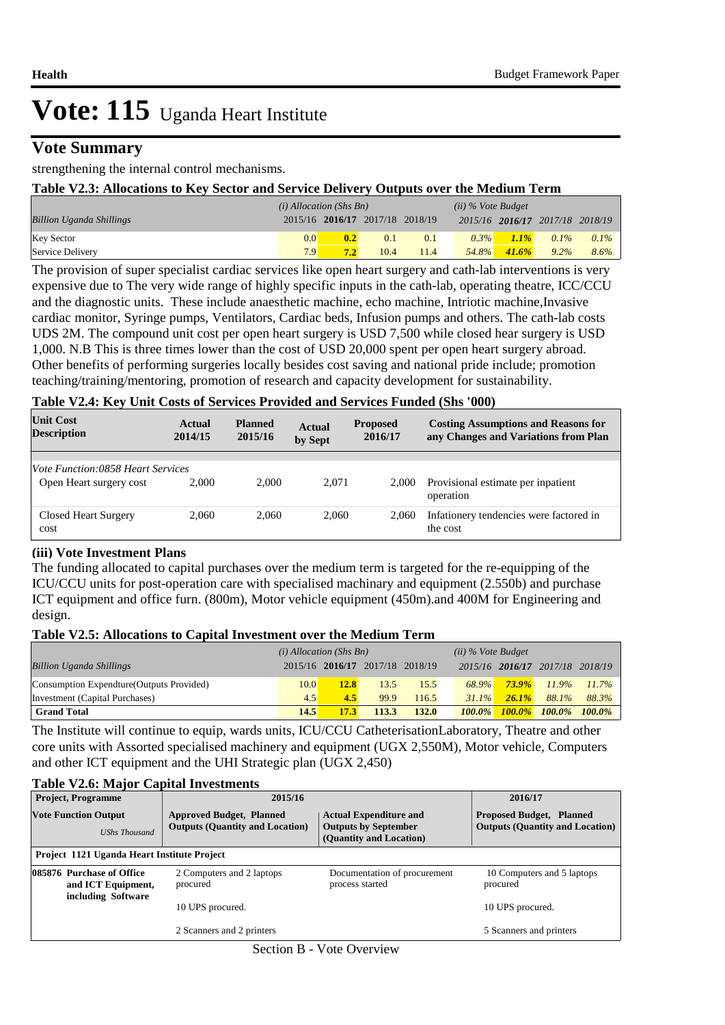### **Vote Summary**

strengthening the internal control mechanisms.

#### **Table V2.3: Allocations to Key Sector and Service Delivery Outputs over the Medium Term**

|                                 | $(i)$ Allocation (Shs Bn) |                                 |      | $(ii)$ % Vote Budget |         |         |                                 |         |
|---------------------------------|---------------------------|---------------------------------|------|----------------------|---------|---------|---------------------------------|---------|
| <b>Billion Uganda Shillings</b> |                           | 2015/16 2016/17 2017/18 2018/19 |      |                      |         |         | 2015/16 2016/17 2017/18 2018/19 |         |
| <b>Key Sector</b>               | $0.0^{\circ}$             | 0.2                             | 0.1  | 0.1                  | $0.3\%$ | $1.1\%$ | $0.1\%$                         | $0.1\%$ |
| Service Delivery                | 7.9                       | 7.2                             | 10.4 | 11.4                 | 54.8%   | 41.6%   | $9.2\%$                         | 8.6%    |

The provision of super specialist cardiac services like open heart surgery and cath-lab interventions is very expensive due to The very wide range of highly specific inputs in the cath-lab, operating theatre, ICC/CCU and the diagnostic units. These include anaesthetic machine, echo machine, Intriotic machine,Invasive cardiac monitor, Syringe pumps, Ventilators, Cardiac beds, Infusion pumps and others. The cath-lab costs UDS 2M. The compound unit cost per open heart surgery is USD 7,500 while closed hear surgery is USD 1,000. N.B This is three times lower than the cost of USD 20,000 spent per open heart surgery abroad. Other benefits of performing surgeries locally besides cost saving and national pride include; promotion teaching/training/mentoring, promotion of research and capacity development for sustainability.

#### **Table V2.4: Key Unit Costs of Services Provided and Services Funded (Shs '000)**

| <b>Unit Cost</b><br><b>Description</b>   | Actual<br>2014/15 | <b>Planned</b><br>2015/16 | <b>Actual</b><br>by Sept | <b>Proposed</b><br>2016/17 | <b>Costing Assumptions and Reasons for</b><br>any Changes and Variations from Plan |
|------------------------------------------|-------------------|---------------------------|--------------------------|----------------------------|------------------------------------------------------------------------------------|
|                                          |                   |                           |                          |                            |                                                                                    |
| <i>Vote Function:0858 Heart Services</i> |                   |                           |                          |                            |                                                                                    |
| Open Heart surgery cost                  | 2.000             | 2.000                     | 2.071                    | 2.000                      | Provisional estimate per inpatient<br>operation                                    |
| Closed Heart Surgery<br>cost             | 2.060             | 2.060                     | 2.060                    | 2.060                      | Infationery tendencies were factored in<br>the cost                                |

#### **(iii) Vote Investment Plans**

The funding allocated to capital purchases over the medium term is targeted for the re-equipping of the ICU/CCU units for post-operation care with specialised machinary and equipment (2.550b) and purchase ICT equipment and office furn. (800m), Motor vehicle equipment (450m).and 400M for Engineering and design.

#### **Table V2.5: Allocations to Capital Investment over the Medium Term**

|                                           | $(i)$ Allocation (Shs Bn) |                                 |       | $(ii)$ % Vote Budget |           |          |                                 |          |
|-------------------------------------------|---------------------------|---------------------------------|-------|----------------------|-----------|----------|---------------------------------|----------|
| <b>Billion Uganda Shillings</b>           |                           | 2015/16 2016/17 2017/18 2018/19 |       |                      |           |          | 2015/16 2016/17 2017/18 2018/19 |          |
| Consumption Expendture (Outputs Provided) | 10.0                      | <b>12.8</b>                     | 13.5  | 15.5                 | 68.9%     | $73.9\%$ | $11.9\%$                        | $11.7\%$ |
| Investment (Capital Purchases)            | 4.5                       | 4.5                             | 99.9  | 116.5                | $31.1\%$  | $26.1\%$ | 88.1%                           | 88.3%    |
| <b>Grand Total</b>                        | 14.5                      | <b>17.3</b>                     | 113.3 | 132.0                | $100.0\%$ |          | 100.0% 100.0% 100.0%            |          |

The Institute will continue to equip, wards units, ICU/CCU CatheterisationLaboratory, Theatre and other core units with Assorted specialised machinery and equipment (UGX 2,550M), Motor vehicle, Computers and other ICT equipment and the UHI Strategic plan (UGX 2,450)

#### **Table V2.6: Major Capital Investments**

| <b>Project, Programme</b>                                             | 2015/16                                                                   |                                                                                         | 2016/17                                                                   |
|-----------------------------------------------------------------------|---------------------------------------------------------------------------|-----------------------------------------------------------------------------------------|---------------------------------------------------------------------------|
| <b>Vote Function Output</b><br><b>UShs Thousand</b>                   | <b>Approved Budget, Planned</b><br><b>Outputs (Quantity and Location)</b> | <b>Actual Expenditure and</b><br><b>Outputs by September</b><br>(Quantity and Location) | <b>Proposed Budget, Planned</b><br><b>Outputs (Quantity and Location)</b> |
| Project 1121 Uganda Heart Institute Project                           |                                                                           |                                                                                         |                                                                           |
| 085876 Purchase of Office<br>and ICT Equipment,<br>including Software | 2 Computers and 2 laptops<br>procured                                     | Documentation of procurement<br>process started                                         | 10 Computers and 5 laptops<br>procured                                    |
|                                                                       | 10 UPS procured.                                                          |                                                                                         | 10 UPS procured.                                                          |
|                                                                       | 2 Scanners and 2 printers                                                 |                                                                                         | 5 Scanners and printers                                                   |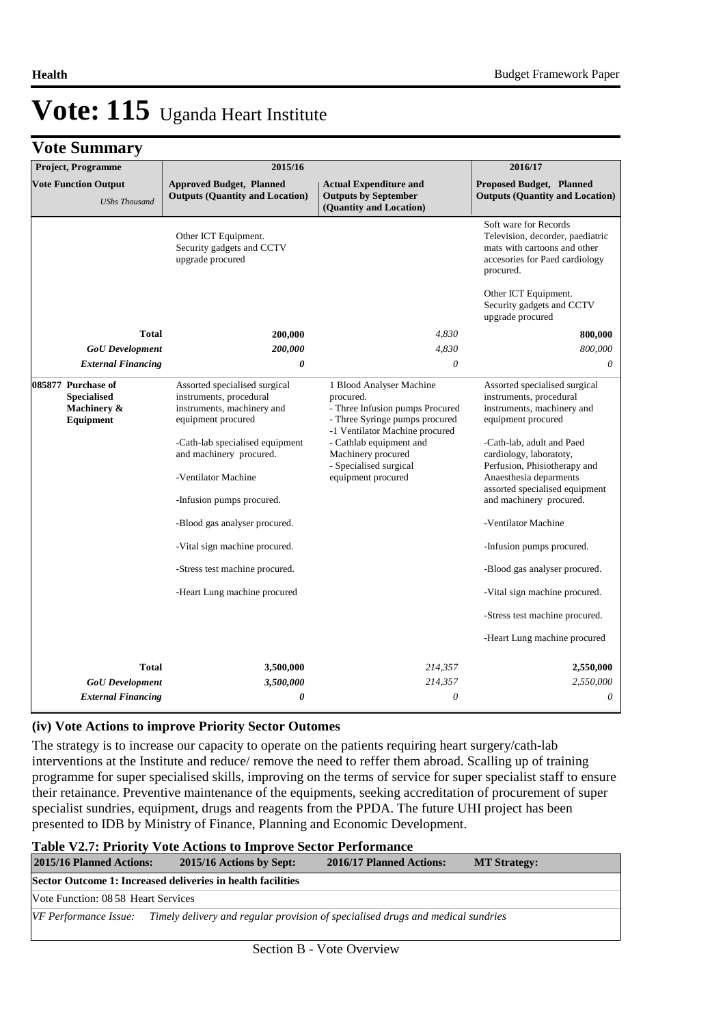|  | <b>Vote Summary</b> |  |
|--|---------------------|--|
|--|---------------------|--|

| ◡<br>Project, Programme                                              | 2015/16                                                                                                                                                                                                                                                                                                                                                            |                                                                                                                                                                                                                                               | 2016/17                                                                                                                                                                                                                                                                                                                                                                                                                                                                             |
|----------------------------------------------------------------------|--------------------------------------------------------------------------------------------------------------------------------------------------------------------------------------------------------------------------------------------------------------------------------------------------------------------------------------------------------------------|-----------------------------------------------------------------------------------------------------------------------------------------------------------------------------------------------------------------------------------------------|-------------------------------------------------------------------------------------------------------------------------------------------------------------------------------------------------------------------------------------------------------------------------------------------------------------------------------------------------------------------------------------------------------------------------------------------------------------------------------------|
| <b>Vote Function Output</b><br><b>UShs Thousand</b>                  | <b>Approved Budget, Planned</b><br><b>Outputs (Quantity and Location)</b>                                                                                                                                                                                                                                                                                          | <b>Actual Expenditure and</b><br><b>Outputs by September</b><br>(Quantity and Location)                                                                                                                                                       | <b>Proposed Budget, Planned</b><br><b>Outputs (Quantity and Location)</b>                                                                                                                                                                                                                                                                                                                                                                                                           |
|                                                                      | Other ICT Equipment.<br>Security gadgets and CCTV<br>upgrade procured                                                                                                                                                                                                                                                                                              |                                                                                                                                                                                                                                               | Soft ware for Records<br>Television, decorder, paediatric<br>mats with cartoons and other<br>accesories for Paed cardiology<br>procured.                                                                                                                                                                                                                                                                                                                                            |
|                                                                      |                                                                                                                                                                                                                                                                                                                                                                    |                                                                                                                                                                                                                                               | Other ICT Equipment.<br>Security gadgets and CCTV<br>upgrade procured                                                                                                                                                                                                                                                                                                                                                                                                               |
| <b>Total</b>                                                         | 200,000                                                                                                                                                                                                                                                                                                                                                            | 4,830                                                                                                                                                                                                                                         | 800,000                                                                                                                                                                                                                                                                                                                                                                                                                                                                             |
| <b>GoU</b> Development                                               | 200,000                                                                                                                                                                                                                                                                                                                                                            | 4,830                                                                                                                                                                                                                                         | 800,000                                                                                                                                                                                                                                                                                                                                                                                                                                                                             |
| <b>External Financing</b>                                            | 0                                                                                                                                                                                                                                                                                                                                                                  | $\theta$                                                                                                                                                                                                                                      | 0                                                                                                                                                                                                                                                                                                                                                                                                                                                                                   |
| 085877 Purchase of<br><b>Specialised</b><br>Machinery &<br>Equipment | Assorted specialised surgical<br>instruments, procedural<br>instruments, machinery and<br>equipment procured<br>-Cath-lab specialised equipment<br>and machinery procured.<br>-Ventilator Machine<br>-Infusion pumps procured.<br>-Blood gas analyser procured.<br>-Vital sign machine procured.<br>-Stress test machine procured.<br>-Heart Lung machine procured | 1 Blood Analyser Machine<br>procured.<br>- Three Infusion pumps Procured<br>- Three Syringe pumps procured<br>-1 Ventilator Machine procured<br>- Cathlab equipment and<br>Machinery procured<br>- Specialised surgical<br>equipment procured | Assorted specialised surgical<br>instruments, procedural<br>instruments, machinery and<br>equipment procured<br>-Cath-lab, adult and Paed<br>cardiology, laboratoty,<br>Perfusion, Phisiotherapy and<br>Anaesthesia deparments<br>assorted specialised equipment<br>and machinery procured.<br>-Ventilator Machine<br>-Infusion pumps procured.<br>-Blood gas analyser procured.<br>-Vital sign machine procured.<br>-Stress test machine procured.<br>-Heart Lung machine procured |
|                                                                      |                                                                                                                                                                                                                                                                                                                                                                    |                                                                                                                                                                                                                                               |                                                                                                                                                                                                                                                                                                                                                                                                                                                                                     |
| <b>Total</b>                                                         | 3,500,000                                                                                                                                                                                                                                                                                                                                                          | 214,357                                                                                                                                                                                                                                       | 2,550,000                                                                                                                                                                                                                                                                                                                                                                                                                                                                           |
| <b>GoU</b> Development                                               | 3,500,000                                                                                                                                                                                                                                                                                                                                                          | 214,357                                                                                                                                                                                                                                       | 2,550,000                                                                                                                                                                                                                                                                                                                                                                                                                                                                           |
| <b>External Financing</b>                                            | $\boldsymbol{\theta}$                                                                                                                                                                                                                                                                                                                                              | $\theta$                                                                                                                                                                                                                                      | $\theta$                                                                                                                                                                                                                                                                                                                                                                                                                                                                            |

#### **(iv) Vote Actions to improve Priority Sector Outomes**

The strategy is to increase our capacity to operate on the patients requiring heart surgery/cath-lab interventions at the Institute and reduce/ remove the need to reffer them abroad. Scalling up of training programme for super specialised skills, improving on the terms of service for super specialist staff to ensure their retainance. Preventive maintenance of the equipments, seeking accreditation of procurement of super specialist sundries, equipment, drugs and reagents from the PPDA. The future UHI project has been presented to IDB by Ministry of Finance, Planning and Economic Development.

#### **Table V2.7: Priority Vote Actions to Improve Sector Performance**

| <b>2015/16 Planned Actions:</b>     | 2015/16 Actions by Sept:                                                        | 2016/17 Planned Actions: | <b>MT Strategy:</b> |
|-------------------------------------|---------------------------------------------------------------------------------|--------------------------|---------------------|
|                                     | Sector Outcome 1: Increased deliveries in health facilities                     |                          |                     |
| Vote Function: 08.58 Heart Services |                                                                                 |                          |                     |
| VF Performance Issue:               | Timely delivery and regular provision of specialised drugs and medical sundries |                          |                     |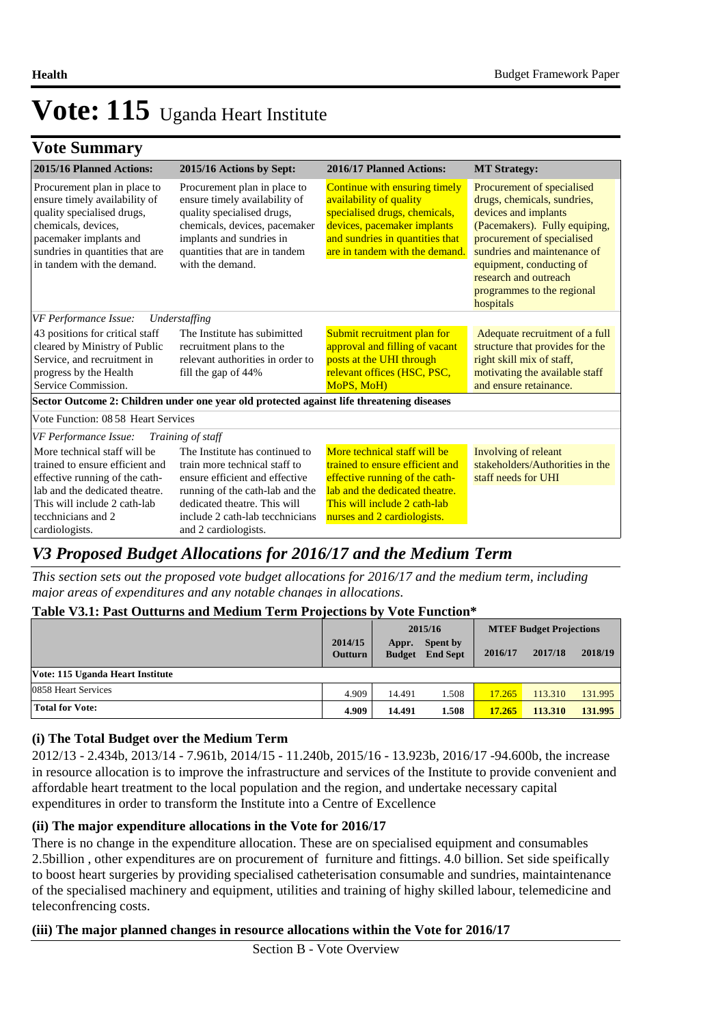|  | <b>Vote Summary</b> |
|--|---------------------|
|--|---------------------|

| 2015/16 Planned Actions:                                                                                                                                                                                      | 2015/16 Actions by Sept:                                                                                                                                                                                                        | 2016/17 Planned Actions:                                                                                                                                                                           | <b>MT Strategy:</b>                                                                                                                                                                                                                                                             |
|---------------------------------------------------------------------------------------------------------------------------------------------------------------------------------------------------------------|---------------------------------------------------------------------------------------------------------------------------------------------------------------------------------------------------------------------------------|----------------------------------------------------------------------------------------------------------------------------------------------------------------------------------------------------|---------------------------------------------------------------------------------------------------------------------------------------------------------------------------------------------------------------------------------------------------------------------------------|
| Procurement plan in place to<br>ensure timely availability of<br>quality specialised drugs,<br>chemicals, devices,<br>pacemaker implants and<br>sundries in quantities that are<br>in tandem with the demand. | Procurement plan in place to<br>ensure timely availability of<br>quality specialised drugs,<br>chemicals, devices, pacemaker<br>implants and sundries in<br>quantities that are in tandem<br>with the demand.                   | Continue with ensuring timely<br>availability of quality<br>specialised drugs, chemicals,<br>devices, pacemaker implants<br>and sundries in quantities that<br>are in tandem with the demand.      | Procurement of specialised<br>drugs, chemicals, sundries,<br>devices and implants<br>(Pacemakers). Fully equiping,<br>procurement of specialised<br>sundries and maintenance of<br>equipment, conducting of<br>research and outreach<br>programmes to the regional<br>hospitals |
| VF Performance Issue:                                                                                                                                                                                         | Understaffing                                                                                                                                                                                                                   |                                                                                                                                                                                                    |                                                                                                                                                                                                                                                                                 |
| 43 positions for critical staff<br>cleared by Ministry of Public<br>Service, and recruitment in<br>progress by the Health<br>Service Commission.                                                              | The Institute has subimitted<br>recruitment plans to the<br>relevant authorities in order to<br>fill the gap of 44%                                                                                                             | Submit recruitment plan for<br>approval and filling of vacant<br>posts at the UHI through<br>relevant offices (HSC, PSC,<br>MoPS, MoH)                                                             | Adequate recruitment of a full<br>structure that provides for the<br>right skill mix of staff,<br>motivating the available staff<br>and ensure retainance.                                                                                                                      |
|                                                                                                                                                                                                               | Sector Outcome 2: Children under one year old protected against life threatening diseases                                                                                                                                       |                                                                                                                                                                                                    |                                                                                                                                                                                                                                                                                 |
| Vote Function: 08.58 Heart Services                                                                                                                                                                           |                                                                                                                                                                                                                                 |                                                                                                                                                                                                    |                                                                                                                                                                                                                                                                                 |
| VF Performance Issue:                                                                                                                                                                                         | Training of staff                                                                                                                                                                                                               |                                                                                                                                                                                                    |                                                                                                                                                                                                                                                                                 |
| More technical staff will be<br>trained to ensure efficient and<br>effective running of the cath-<br>lab and the dedicated theatre.<br>This will include 2 cath-lab<br>tecchnicians and 2<br>cardiologists.   | The Institute has continued to<br>train more technical staff to<br>ensure efficient and effective<br>running of the cath-lab and the<br>dedicated theatre. This will<br>include 2 cath-lab tecchnicians<br>and 2 cardiologists. | More technical staff will be<br>trained to ensure efficient and<br>effective running of the cath-<br>lab and the dedicated theatre.<br>This will include 2 cath-lab<br>nurses and 2 cardiologists. | Involving of releant<br>stakeholders/Authorities in the<br>staff needs for UHI                                                                                                                                                                                                  |

## *V3 Proposed Budget Allocations for 2016/17 and the Medium Term*

*This section sets out the proposed vote budget allocations for 2016/17 and the medium term, including major areas of expenditures and any notable changes in allocations.* 

#### **Table V3.1: Past Outturns and Medium Term Projections by Vote Function\***

|                                  |                           |                        | 2015/16                            | <b>MTEF Budget Projections</b> |         |         |
|----------------------------------|---------------------------|------------------------|------------------------------------|--------------------------------|---------|---------|
|                                  | 2014/15<br><b>Outturn</b> | Appr.<br><b>Budget</b> | <b>Spent by</b><br><b>End Sept</b> | 2016/17                        | 2017/18 | 2018/19 |
| Vote: 115 Uganda Heart Institute |                           |                        |                                    |                                |         |         |
| 0858 Heart Services              | 4.909                     | 14.491                 | 1.508                              | 17.265                         | 113.310 | 131.995 |
| <b>Total for Vote:</b>           | 4.909                     | 14.491                 | 1.508                              | 17.265                         | 113.310 | 131.995 |

#### **(i) The Total Budget over the Medium Term**

2012/13 - 2.434b, 2013/14 - 7.961b, 2014/15 - 11.240b, 2015/16 - 13.923b, 2016/17 -94.600b, the increase in resource allocation is to improve the infrastructure and services of the Institute to provide convenient and affordable heart treatment to the local population and the region, and undertake necessary capital expenditures in order to transform the Institute into a Centre of Excellence

#### **(ii) The major expenditure allocations in the Vote for 2016/17**

There is no change in the expenditure allocation. These are on specialised equipment and consumables 2.5billion , other expenditures are on procurement of furniture and fittings. 4.0 billion. Set side speifically to boost heart surgeries by providing specialised catheterisation consumable and sundries, maintaintenance of the specialised machinery and equipment, utilities and training of highy skilled labour, telemedicine and teleconfrencing costs.

#### **(iii) The major planned changes in resource allocations within the Vote for 2016/17**

Section B - Vote Overview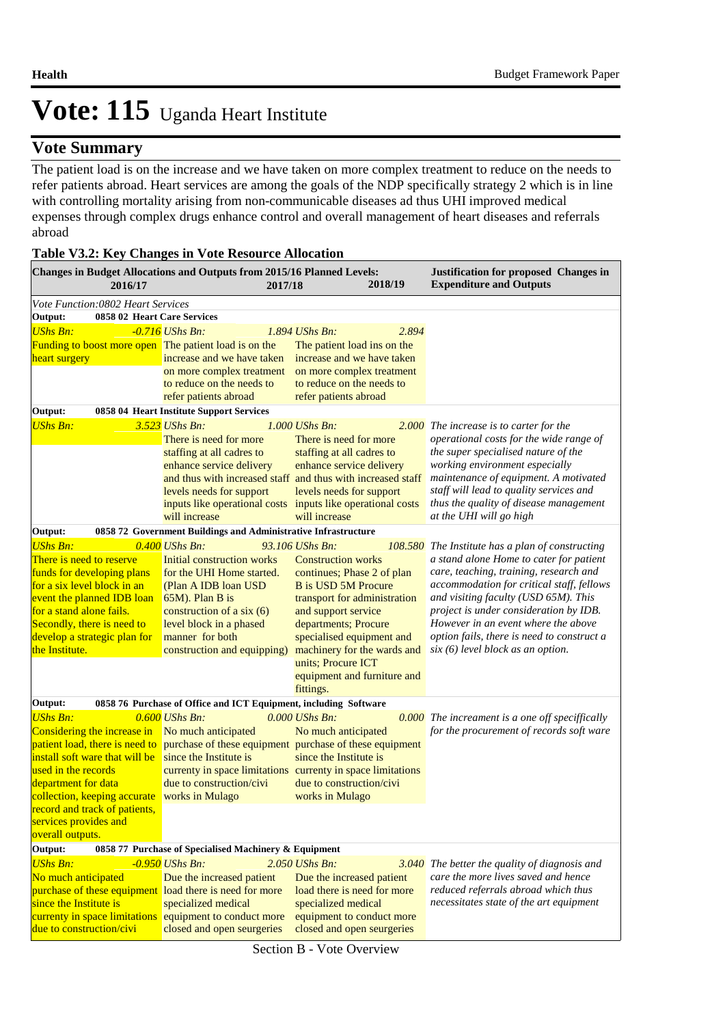### **Vote Summary**

The patient load is on the increase and we have taken on more complex treatment to reduce on the needs to refer patients abroad. Heart services are among the goals of the NDP specifically strategy 2 which is in line with controlling mortality arising from non-communicable diseases ad thus UHI improved medical expenses through complex drugs enhance control and overall management of heart diseases and referrals abroad

| 2016/17                                                                                                                                                                                                                                            | Changes in Budget Allocations and Outputs from 2015/16 Planned Levels:<br>2017/18                                                                                                                                                     | 2018/19                                                                                                                                                                                                                                                                                                               | <b>Justification for proposed Changes in</b><br><b>Expenditure and Outputs</b>                                                                                                                                                                                                                                                                                                                         |
|----------------------------------------------------------------------------------------------------------------------------------------------------------------------------------------------------------------------------------------------------|---------------------------------------------------------------------------------------------------------------------------------------------------------------------------------------------------------------------------------------|-----------------------------------------------------------------------------------------------------------------------------------------------------------------------------------------------------------------------------------------------------------------------------------------------------------------------|--------------------------------------------------------------------------------------------------------------------------------------------------------------------------------------------------------------------------------------------------------------------------------------------------------------------------------------------------------------------------------------------------------|
| Vote Function: 0802 Heart Services                                                                                                                                                                                                                 |                                                                                                                                                                                                                                       |                                                                                                                                                                                                                                                                                                                       |                                                                                                                                                                                                                                                                                                                                                                                                        |
| Output:<br>0858 02 Heart Care Services                                                                                                                                                                                                             |                                                                                                                                                                                                                                       |                                                                                                                                                                                                                                                                                                                       |                                                                                                                                                                                                                                                                                                                                                                                                        |
| <b>UShs Bn:</b>                                                                                                                                                                                                                                    | $-0.716$ UShs Bn:                                                                                                                                                                                                                     | 1.894 UShs Bn:<br>2.894                                                                                                                                                                                                                                                                                               |                                                                                                                                                                                                                                                                                                                                                                                                        |
| Funding to boost more open The patient load is on the<br>heart surgery                                                                                                                                                                             | increase and we have taken<br>on more complex treatment<br>to reduce on the needs to                                                                                                                                                  | The patient load ins on the<br>increase and we have taken<br>on more complex treatment<br>to reduce on the needs to                                                                                                                                                                                                   |                                                                                                                                                                                                                                                                                                                                                                                                        |
|                                                                                                                                                                                                                                                    | refer patients abroad                                                                                                                                                                                                                 | refer patients abroad                                                                                                                                                                                                                                                                                                 |                                                                                                                                                                                                                                                                                                                                                                                                        |
| Output:                                                                                                                                                                                                                                            | 0858 04 Heart Institute Support Services                                                                                                                                                                                              |                                                                                                                                                                                                                                                                                                                       |                                                                                                                                                                                                                                                                                                                                                                                                        |
| <b>UShs Bn:</b>                                                                                                                                                                                                                                    | 3.523 UShs Bn:<br>There is need for more<br>staffing at all cadres to<br>enhance service delivery<br>levels needs for support<br>will increase                                                                                        | 1.000 UShs Bn:<br>There is need for more<br>staffing at all cadres to<br>enhance service delivery<br>and thus with increased staff and thus with increased staff<br>levels needs for support<br>inputs like operational costs inputs like operational costs<br>will increase                                          | 2.000 The increase is to carter for the<br>operational costs for the wide range of<br>the super specialised nature of the<br>working environment especially<br>maintenance of equipment. A motivated<br>staff will lead to quality services and<br>thus the quality of disease management<br>at the UHI will go high                                                                                   |
| Output:                                                                                                                                                                                                                                            | 0858 72 Government Buildings and Administrative Infrastructure                                                                                                                                                                        |                                                                                                                                                                                                                                                                                                                       |                                                                                                                                                                                                                                                                                                                                                                                                        |
| <b>UShs Bn:</b><br>There is need to reserve<br>funds for developing plans<br>for a six level block in an<br>event the planned IDB loan<br>for a stand alone fails.<br>Secondly, there is need to<br>develop a strategic plan for<br>the Institute. | $0.400$ UShs Bn:<br>Initial construction works<br>for the UHI Home started.<br>(Plan A IDB loan USD<br>$65M$ ). Plan B is<br>construction of a six $(6)$<br>level block in a phased<br>manner for both<br>construction and equipping) | 93.106 UShs Bn:<br><b>Construction works</b><br>continues; Phase 2 of plan<br><b>B</b> is USD 5M Procure<br>transport for administration<br>and support service<br>departments; Procure<br>specialised equipment and<br>machinery for the wards and<br>units; Procure ICT<br>equipment and furniture and<br>fittings. | <b>108.580</b> The Institute has a plan of constructing<br>a stand alone Home to cater for patient<br>care, teaching, training, research and<br>accommodation for critical staff, fellows<br>and visiting faculty (USD 65M). This<br>project is under consideration by IDB.<br>However in an event where the above<br>option fails, there is need to construct a<br>$six(6)$ level block as an option. |
| Output:                                                                                                                                                                                                                                            | 0858 76 Purchase of Office and ICT Equipment, including Software                                                                                                                                                                      |                                                                                                                                                                                                                                                                                                                       |                                                                                                                                                                                                                                                                                                                                                                                                        |
| <b>UShs Bn:</b><br>Considering the increase in No much anticipated<br>install soft ware that will be since the Institute is<br>used in the records<br>department for data<br>collection, keeping accurate works in Mulago                          | $0.600$ UShs Bn:<br>due to construction/civi                                                                                                                                                                                          | 0.000 UShs Bn:<br>No much anticipated<br>patient load, there is need to purchase of these equipment purchase of these equipment<br>since the Institute is<br>currenty in space limitations currenty in space limitations<br>due to construction/civi<br>works in Mulago                                               | $0.000$ The increament is a one off speciffically<br>for the procurement of records soft ware                                                                                                                                                                                                                                                                                                          |
| record and track of patients,                                                                                                                                                                                                                      |                                                                                                                                                                                                                                       |                                                                                                                                                                                                                                                                                                                       |                                                                                                                                                                                                                                                                                                                                                                                                        |
| services provides and                                                                                                                                                                                                                              |                                                                                                                                                                                                                                       |                                                                                                                                                                                                                                                                                                                       |                                                                                                                                                                                                                                                                                                                                                                                                        |
| overall outputs.                                                                                                                                                                                                                                   |                                                                                                                                                                                                                                       |                                                                                                                                                                                                                                                                                                                       |                                                                                                                                                                                                                                                                                                                                                                                                        |
| Output:                                                                                                                                                                                                                                            | 0858 77 Purchase of Specialised Machinery & Equipment                                                                                                                                                                                 |                                                                                                                                                                                                                                                                                                                       |                                                                                                                                                                                                                                                                                                                                                                                                        |
| <b>UShs Bn:</b><br>No much anticipated<br>purchase of these equipment load there is need for more<br>since the Institute is<br>currenty in space limitations                                                                                       | -0.950 UShs Bn:<br>Due the increased patient<br>specialized medical<br>equipment to conduct more                                                                                                                                      | 2.050 UShs Bn:<br>3.040<br>Due the increased patient<br>load there is need for more<br>specialized medical<br>equipment to conduct more                                                                                                                                                                               | The better the quality of diagnosis and<br>care the more lives saved and hence<br>reduced referrals abroad which thus<br>necessitates state of the art equipment                                                                                                                                                                                                                                       |
| due to construction/civi                                                                                                                                                                                                                           | closed and open seurgeries                                                                                                                                                                                                            | closed and open seurgeries                                                                                                                                                                                                                                                                                            |                                                                                                                                                                                                                                                                                                                                                                                                        |

**Table V3.2: Key Changes in Vote Resource Allocation**

Section B - Vote Overview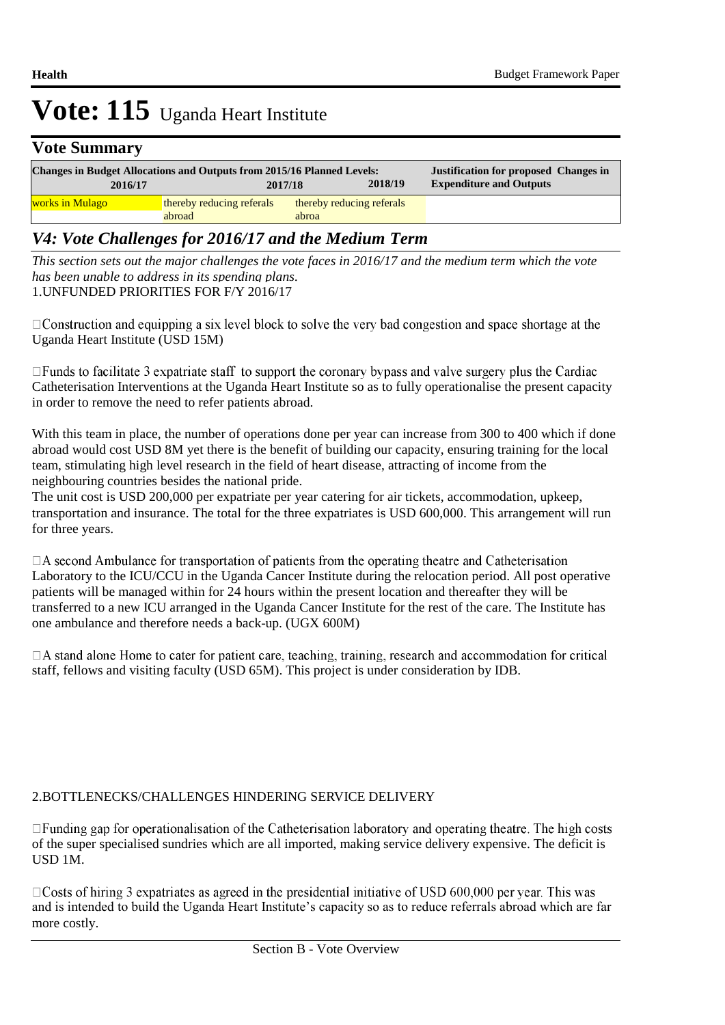### **Vote Summary**

| 2016/17                | <b>Changes in Budget Allocations and Outputs from 2015/16 Planned Levels:</b><br>2018/19<br>2017/18 |                                    | <b>Justification for proposed Changes in</b><br><b>Expenditure and Outputs</b> |  |
|------------------------|-----------------------------------------------------------------------------------------------------|------------------------------------|--------------------------------------------------------------------------------|--|
| <u>works in Mulago</u> | thereby reducing referals<br>abroad                                                                 | thereby reducing referals<br>abroa |                                                                                |  |

### *V4: Vote Challenges for 2016/17 and the Medium Term*

1. UNFUNDED PRIORITIES FOR F/Y 2016/17 *This section sets out the major challenges the vote faces in 2016/17 and the medium term which the vote has been unable to address in its spending plans.*

 $\Box$ Construction and equipping a six level block to solve the very bad congestion and space shortage at the Uganda Heart Institute (USD 15M)

 $\Box$  Funds to facilitate 3 expatriate staff to support the coronary bypass and valve surgery plus the Cardiac Catheterisation Interventions at the Uganda Heart Institute so as to fully operationalise the present capacity in order to remove the need to refer patients abroad.

With this team in place, the number of operations done per year can increase from 300 to 400 which if done abroad would cost USD 8M yet there is the benefit of building our capacity, ensuring training for the local team, stimulating high level research in the field of heart disease, attracting of income from the neighbouring countries besides the national pride.

The unit cost is USD 200,000 per expatriate per year catering for air tickets, accommodation, upkeep, transportation and insurance. The total for the three expatriates is USD 600,000. This arrangement will run for three years.

 $\Box$  A second Ambulance for transportation of patients from the operating theatre and Catheterisation Laboratory to the ICU/CCU in the Uganda Cancer Institute during the relocation period. All post operative patients will be managed within for 24 hours within the present location and thereafter they will be transferred to a new ICU arranged in the Uganda Cancer Institute for the rest of the care. The Institute has one ambulance and therefore needs a back-up. (UGX 600M)

 $\Box$  A stand alone Home to cater for patient care, teaching, training, research and accommodation for critical staff, fellows and visiting faculty (USD 65M). This project is under consideration by IDB.

#### 2. BOTTLENECKS/CHALLENGES HINDERING SERVICE DELIVERY

□ Funding gap for operationalisation of the Catheterisation laboratory and operating theatre. The high costs of the super specialised sundries which are all imported, making service delivery expensive. The deficit is USD 1M.

 $\Box$ Costs of hiring 3 expatriates as agreed in the presidential initiative of USD 600,000 per year. This was and is intended to build the Uganda Heart Institute's capacity so as to reduce referrals abroad which are far more costly.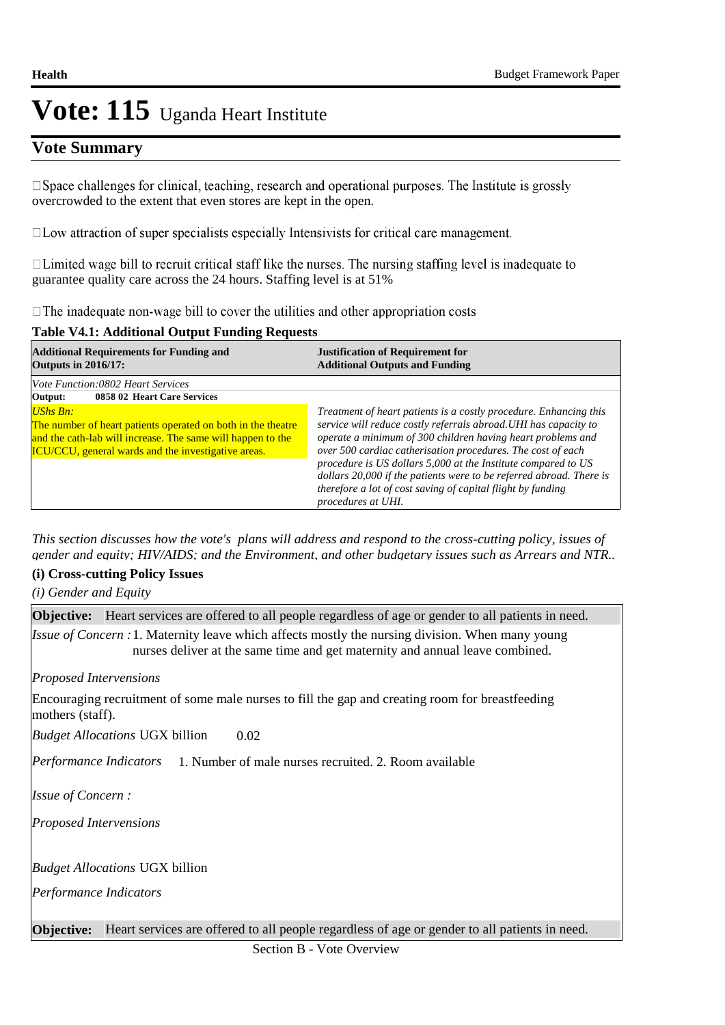### **Vote Summary**

 $\square$  Space challenges for clinical, teaching, research and operational purposes. The Institute is grossly overcrowded to the extent that even stores are kept in the open.

 $\square$  Low attraction of super specialists especially Intensivists for critical care management.

 $\Box$  Limited wage bill to recruit critical staff like the nurses. The nursing staffing level is inadequate to guarantee quality care across the 24 hours. Staffing level is at 51%

 $\Box$  The inadequate non-wage bill to cover the utilities and other appropriation costs

#### **Table V4.1: Additional Output Funding Requests**

| <b>Additional Requirements for Funding and</b><br><b>Outputs in 2016/17:</b>                                                                                                                                  | <b>Justification of Requirement for</b><br><b>Additional Outputs and Funding</b>                                                                                                                                                                                                                                                                                                                                                                                                                 |  |  |
|---------------------------------------------------------------------------------------------------------------------------------------------------------------------------------------------------------------|--------------------------------------------------------------------------------------------------------------------------------------------------------------------------------------------------------------------------------------------------------------------------------------------------------------------------------------------------------------------------------------------------------------------------------------------------------------------------------------------------|--|--|
| <i>Vote Function:0802 Heart Services</i><br>0858 02 Heart Care Services<br>Output:                                                                                                                            |                                                                                                                                                                                                                                                                                                                                                                                                                                                                                                  |  |  |
| <b>UShs Bn:</b><br>The number of heart patients operated on both in the theatre<br>and the cath-lab will increase. The same will happen to the<br><b>ICU/CCU</b> , general wards and the investigative areas. | Treatment of heart patients is a costly procedure. Enhancing this<br>service will reduce costly referrals abroad. UHI has capacity to<br>operate a minimum of 300 children having heart problems and<br>over 500 cardiac catherisation procedures. The cost of each<br>procedure is US dollars 5,000 at the Institute compared to US<br>dollars 20,000 if the patients were to be referred abroad. There is<br>therefore a lot of cost saving of capital flight by funding<br>procedures at UHI. |  |  |

*This section discusses how the vote's plans will address and respond to the cross-cutting policy, issues of gender and equity; HIV/AIDS; and the Environment, and other budgetary issues such as Arrears and NTR..* 

#### **(i) Cross-cutting Policy Issues**

*(i) Gender and Equity*

| <b>Objective:</b> Heart services are offered to all people regardless of age or gender to all patients in need.                                                                         |
|-----------------------------------------------------------------------------------------------------------------------------------------------------------------------------------------|
| <i>Issue of Concern</i> : 1. Maternity leave which affects mostly the nursing division. When many young<br>nurses deliver at the same time and get maternity and annual leave combined. |
| <b>Proposed Intervensions</b>                                                                                                                                                           |
| Encouraging recruitment of some male nurses to fill the gap and creating room for breastfeeding<br>mothers (staff).                                                                     |
| 0.02<br><i>Budget Allocations</i> UGX billion                                                                                                                                           |
| <i>Performance Indicators</i> 1. Number of male nurses recruited. 2. Room available                                                                                                     |
| <i>Issue of Concern:</i>                                                                                                                                                                |
| <b>Proposed Intervensions</b>                                                                                                                                                           |
| <i>Budget Allocations</i> UGX billion                                                                                                                                                   |
| Performance Indicators                                                                                                                                                                  |
| <b>Objective:</b> Heart services are offered to all people regardless of age or gender to all patients in need.                                                                         |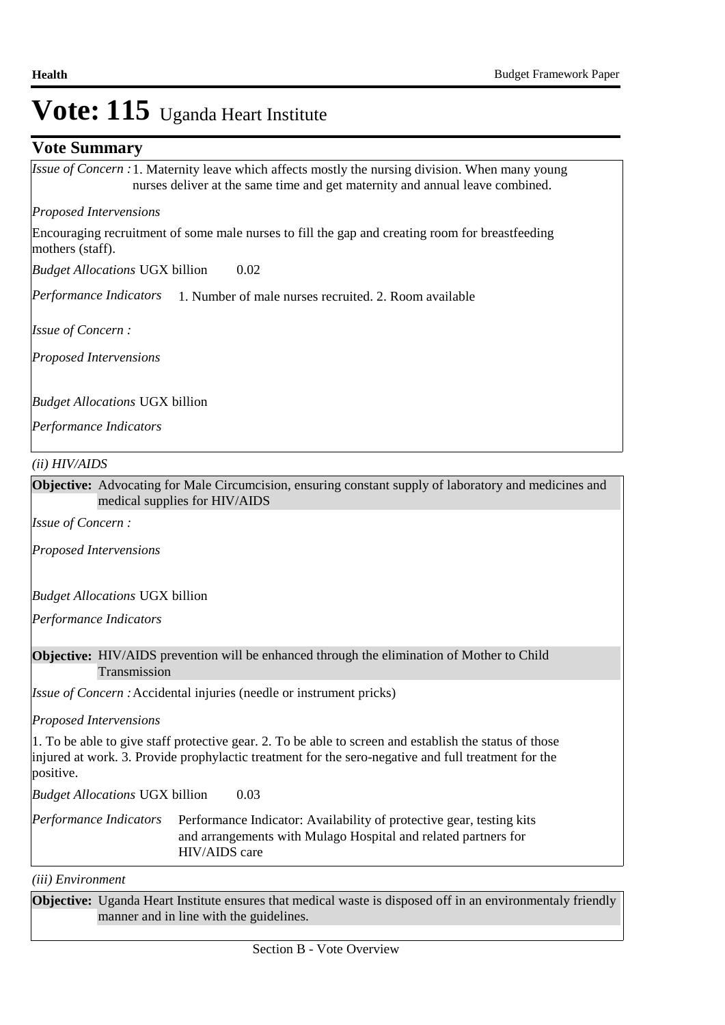### **Vote Summary**

*Issue of Concern* : 1. Maternity leave which affects mostly the nursing division. When many young nurses deliver at the same time and get maternity and annual leave combined.

#### *Proposed Intervensions*

Encouraging recruitment of some male nurses to fill the gap and creating room for breastfeeding mothers (staff).

0.02 *Budget Allocations*  UGX billion

Performance Indicators 1. Number of male nurses recruited. 2. Room available

*Issue of Concern :*

*Proposed Intervensions* 

*Budget Allocations*  UGX billion

*Performance Indicators*

#### *(ii) HIV/AIDS*

**Objective:** Advocating for Male Circumcision, ensuring constant supply of laboratory and medicines and medical supplies for HIV/AIDS

*Issue of Concern :*

*Proposed Intervensions* 

*Budget Allocations*  UGX billion

*Performance Indicators*

#### **Objective:** HIV/AIDS prevention will be enhanced through the elimination of Mother to Child Transmission

*Issue of Concern :* Accidental injuries (needle or instrument pricks)

*Proposed Intervensions* 

1. To be able to give staff protective gear. 2. To be able to screen and establish the status of those injured at work. 3. Provide prophylactic treatment for the sero-negative and full treatment for the positive.

0.03 *Budget Allocations*  UGX billion

Performance Indicator: Availability of protective gear, testing kits and arrangements with Mulago Hospital and related partners for HIV/AIDS care *Performance Indicators*

*(iii) Environment*

**Objective:** Uganda Heart Institute ensures that medical waste is disposed off in an environmentaly friendly manner and in line with the guidelines.